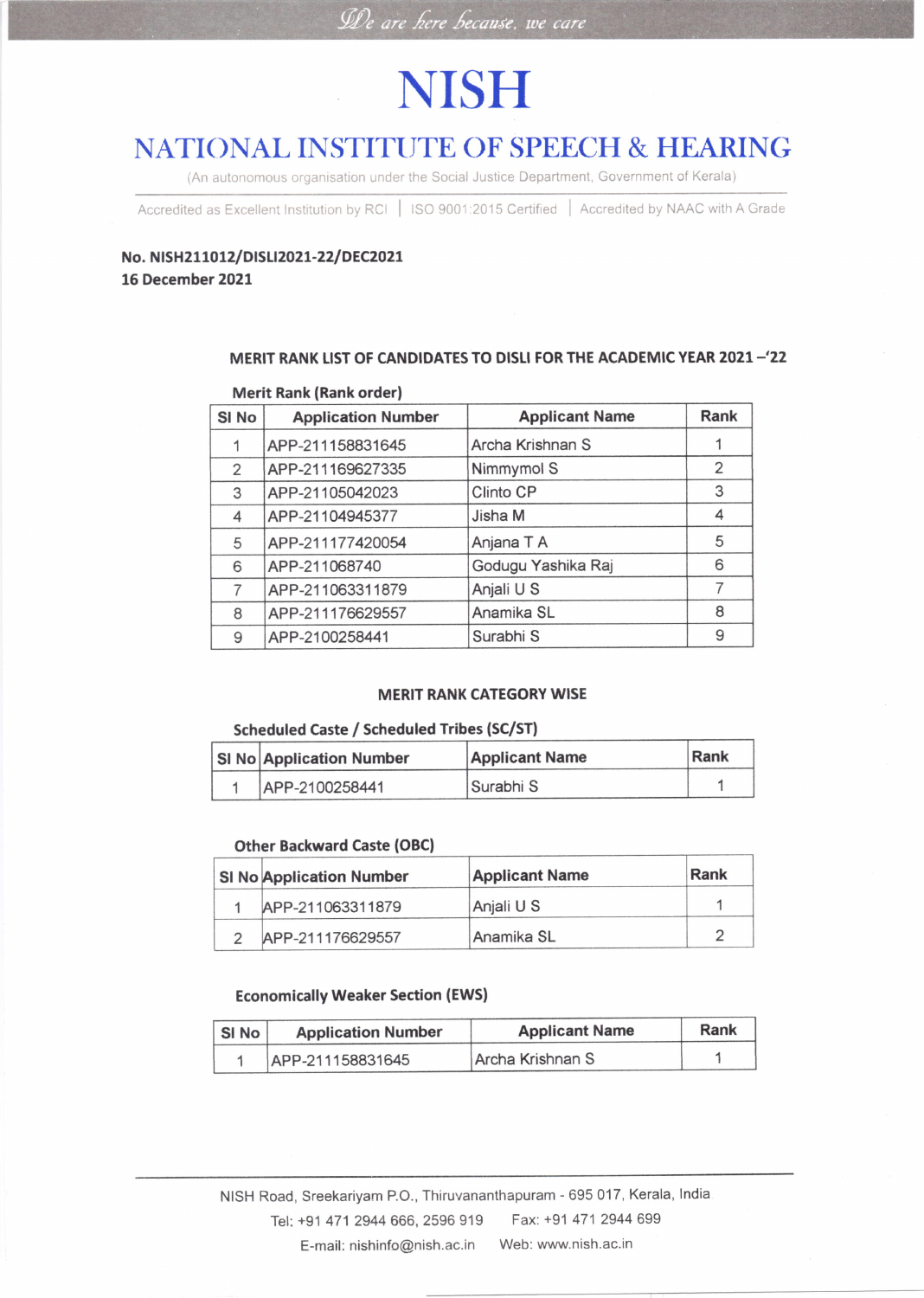### De are here because, we care

## **NISH**

## NATIONAL INSTITUTE OF SPEECH & HEARING

(An autonomous organisation under the Social Justice Department, Government of Kerala)

Accredited as Excellent Institution by RCI | ISO 9001:2015 Certified | Accredited by NAAC with A Grade

### No. NISH211012/DISLI2021-22/DEC2021 16 December 2021

#### MERIT RANK LIST OF CANDIDATES TO DISLI FOR THE ACADEMIC YEAR 2021-'22

#### Merit Rank (Rank order)

| SI No | <b>Application Number</b> | <b>Applicant Name</b> | Rank           |
|-------|---------------------------|-----------------------|----------------|
|       | APP-211158831645          | Archa Krishnan S      |                |
| 2     | APP-211169627335          | Nimmymol S            | $\overline{2}$ |
| 3     | APP-21105042023           | Clinto CP             | 3              |
| 4     | APP-21104945377           | Jisha M               | 4              |
| 5     | APP-211177420054          | Anjana T A            | 5              |
| 6     | APP-211068740             | Godugu Yashika Raj    | 6              |
| 7     | APP-211063311879          | Anjali U S            |                |
| 8     | APP-211176629557          | Anamika SL            | 8              |
| 9     | APP-2100258441            | Surabhi S             | 9              |

#### MERIT RANK CATEGORY WISE

#### Scheduled Caste / Scheduled Tribes (SC/ST)

| <b>SI No Application Number</b> | <b>Applicant Name</b> | Rank |
|---------------------------------|-----------------------|------|
| APP-2100258441                  | Surabhi S             |      |

#### Other Backward Caste (OBC)

| <b>SI No Application Number</b> | <b>Applicant Name</b> | Rank |
|---------------------------------|-----------------------|------|
| APP-211063311879                | Anjali U S            |      |
| APP-211176629557                | Anamika SL            |      |

#### Economically Weaker Section (EWS)

| SI No | <b>Application Number</b> | <b>Applicant Name</b> | Rank |
|-------|---------------------------|-----------------------|------|
|       | APP-211158831645          | Archa Krishnan S      |      |